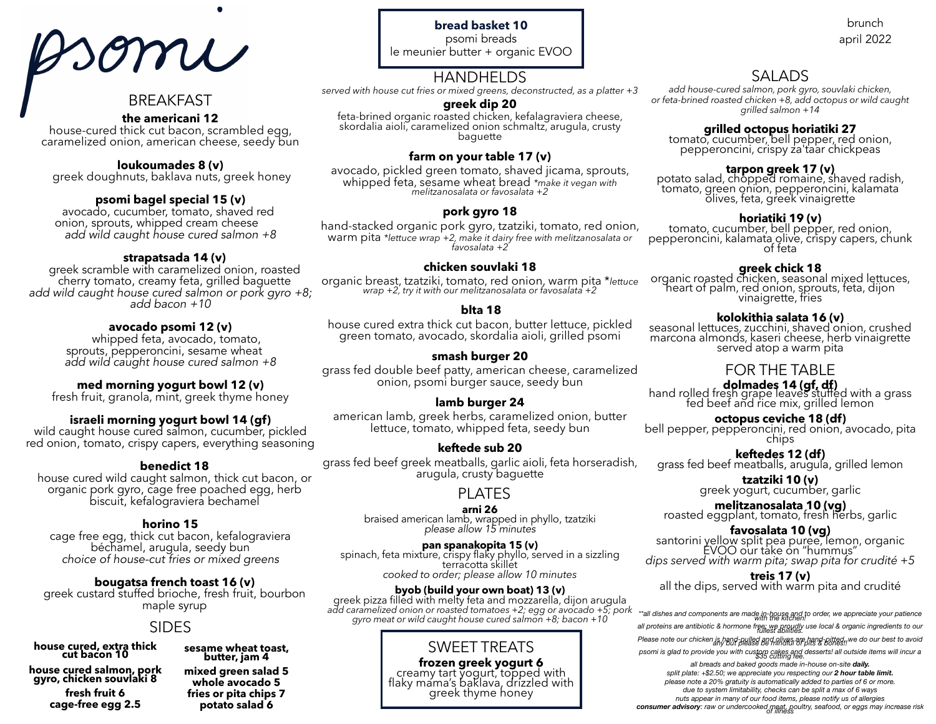# somi

## BREAKFAST

## **the americani 12**

house-cured thick cut bacon, scrambled egg, caramelized onion, american cheese, seedy bun

## **loukoumades 8 (v)**

greek doughnuts, baklava nuts, greek honey

**psomi bagel special 15 (v)** avocado, cucumber, tomato, shaved red onion, sprouts, whipped cream cheese *add wild caught house cured salmon +8*

**strapatsada 14 (v)<br>greek scramble with caramelized onion, roasted<br>cherry tomato, creamy feta, grilled baguette** cherry tomato, creamy feta, grilled baguette *add wild caught house cured salmon or pork gyro +8; add bacon +10*

**avocado psomi 12 (v)**<br>whipped feta, avocado, tomato,<br>sprouts, pepperoncini, sesame wheat *add wild caught house cured salmon +8*

## **med morning yogurt bowl 12 (v)**<br>fresh fruit, granola, mint, greek thyme honey

**israeli morning yogurt bowl 14 (gf)** wild caught house cured salmon, cucumber, pickled red onion, tomato, crispy capers, everything seasoning

## **benedict 18**

house cured wild caught salmon, thick cut bacon, or organic pork gyro, cage free poached egg, herb biscuit, kefalograviera bechamel

**horino 15**<br>cage free egg, thick cut bacon, kefalograviera cage free egg, thick cut bacon, kefalograviera béchamel, arugula, seedy bun *choice of house-cut fries or mixed greens*

**bougatsa french toast 16 (v)**<br>greek custard stuffed brioche, fresh fruit, bourbon<br>maple syrup

## SIDES

**house cured, extra thick cut bacon 10**

**house cured salmon, pork gyro, chicken souvlaki 8 fresh fruit 6 cage-free egg 2.5**

**sesame wheat toast, butter, jam 4 mixed green salad 5 whole avocado 5 fries or pita chips 7 potato salad 6**

**bread basket 10** psomi breads le meunier butter + organic EVOO

## HANDHELDS

*served with house cut fries or mixed greens, deconstructed, as a platter +3* 

## **greek dip 20**

feta-brined organic roasted chicken, kefalagraviera cheese, skordalia aioli, caramelized onion schmaltz, arugula, crusty baguette

## **farm on your table 17 (v)**

avocado, pickled green tomato, shaved jicama, sprouts, whipped feta, sesame wheat bread *\*make it vegan with melitzanosalata or favosalata +2* 

## **pork gyro 18**

hand-stacked organic pork gyro, tzatziki, tomato, red onion, warm pita *\*lettuce wrap +2, make it dairy free with melitzanosalata or favosalata +2* 

## **chicken souvlaki 18**

organic breast, tzatziki, tomato, red onion, warm pita \**lettuce wrap +2, try it with our melitzanosalata or favosalata +2*

## **blta 18**

house cured extra thick cut bacon, butter lettuce, pickled green tomato, avocado, skordalia aioli, grilled psomi

## **smash burger 20**

grass fed double beef patty, american cheese, caramelized onion, psomi burger sauce, seedy bun

## **lamb burger 24**

american lamb, greek herbs, caramelized onion, butter lettuce, tomato, whipped feta, seedy bun

## **keftede sub 20**

grass fed beef greek meatballs, garlic aioli, feta horseradish, arugula, crusty baguette

## PLATES

**arni 26** braised american lamb, wrapped in phyllo, tzatziki *please allow 15 minutes*

**pan spanakopita 15 (v)**<br>spinach, feta mixture, crispy flaky phyllo, served in a sizzling<br>terracotta skillet *cooked to order; please allow 10 minutes*

add caramelized onion or roasted tomatoes +2; egg or avocado +5; pork «all dishes and components are made in-house and to order, we appreciate your patience<br>gyro meat or wild caught house cured salmon +8; bacon +10 **byob (build your own boat) 13 (v)** greek pizza filled with melty feta and mozzarella, dijon arugula

## SWEET TREATS

**frozen greek yogurt 6** creamy tart yogurt, topped with flaky mama's baklava, drizzled with greek thyme honey

## april 2022

brunch

## SALADS

*add house-cured salmon, pork gyro, souvlaki chicken, or feta-brined roasted chicken +8, add octopus or wild caught grilled salmon +14*

## **grilled octopus horiatiki 27**

tomato, cucumber, bell pepper, red onion, pepperoncini, crispy za'taar chickpeas

**tarpon greek 17 (v)** potato salad, chopped romaine, shaved radish, tomato, green onion, pepperoncini, kalamata olives, feta, greek vinaigrette

**horiatiki 19 (v)**<br>tomato, cucumber, bell pepper, red onion,<br>pepperoncini, kalamata olive, crispy capers, chunk<br>of feta

**greek chick 18**<br>organic roasted chicken, seasonal mixed lettuces, heart of palm, red onion, sprouts, feta, dijon<br>vinaigrette, fries

**kolokithia salata 16 (v)** seasonal lettuces, zucchini, shaved onion, crushed marcona almonds, kaseri cheese, herb vinaigrette served atop a warm pita

## FOR THE TABLE

**dolmades 14 (gf, df)**<br>hand rolled fresh grape leaves stuffed with a grass<br>fed beef and rice mix, grilled lemon

**octopus ceviche 18 (df)**<br>bell pepper, pepperoncini, red onion, avocado, pita<br>chips

**keftedes 12 (df)**<br>grass fed beef meatballs, arugula, grilled lemon

**tzatziki 10 (v)** greek yogurt, cucumber, garlic

**melitzanosalata 10 (vg)** roasted eggplant, tomato, fresh herbs, garlic

**favosalata 10 (vg)**<br>santorini yellow split pea puree, lemon, organic<br>EVOO our take on "hummus" *dips served with warm pita; swap pita for crudité +5*

**treis 17 (v)** all the dips, served with warm pita and crudité

*all proteins are antibiotic & hormone free; we proudly use local & organic ingredients to our fullest abilities.* 

*Please note our chicken is hand-pulled and olives are hand-pitted, we do our best to avoid any but please be mindful of pits & bones!! psomi is glad to provide you with custom cakes and desserts! all outside items will incur a \$35 cutting fee.* 

*all breads and baked goods made in-house on-site daily. split plate: +\$2.50; we appreciate you respecting our 2 hour table limit. please note a 20% gratuity is automatically added to parties of 6 or more. due to system limitability, checks can be split a max of 6 ways nuts appear in many of our food items, please notify us of allergies*  consumer advisory: raw or undercooked meat, poultry, seafood, or eggs may increase risk